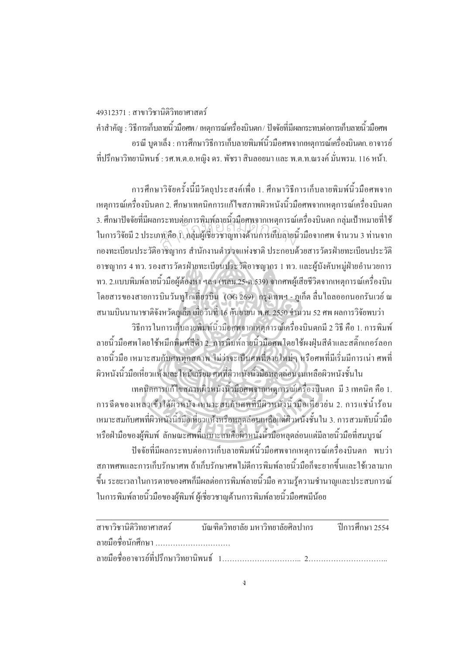19312371 : สาขาวิชานิติวิทยาศาสตร์

คำสำคัญ : วิธีการเก็บลายนิ้วมือศพ / เหตุการณ์เครื่องบินตก / ปัจจัยที่มีผลกระทบต่อการเก็บลายนิ้วมือศพ ·Ê ·Ê อรณี บูดาเล็ง : การศึกษาวิธีการเก็บลายพิมพ์นิ้วมือศพจากเหตุการณ์เครื่องบินตก อาจารย์ ที่ปรึกษาวิทยานิพนธ์ : รศ.พ.ต.อ.หญิง คร. พัชรา สินลอยมา และ พ.ต.ท.ณรงค์ มั่นพรม. 116 หน้า. ´É

การศึกษาวิจัยครั้งนี้มีวัตถุประสงค์เพื่อ 1. ศึกษาวิธีการเก็บลายพิมพ์นิ้วมือศพจาก ´Ê เหตุการณ์เครื่องบินตก 2. ศึกษาเทคนิคการแก้ไขสภาพผิวหนังนิ้วมือศพจากเหตุการณ์เครื่องบินตก ·Ê 3. ศึกษาปัจจัยที่มีผลกระทบต่อการพิมพ์ลายนิ้วมือศพจากเหตุการณ์เครื่องบินตก กลุ่มเป้าหมายที่ใช้ ในการวิจัยมี 2 ประเภท คือ 1. กลุ่มผู้เชี่ยวชาญทางด้านการเก็บลายนิ้วมือจากศพ จำนวน 3 ท่านจาก ำองทะเบียนประวัติอาชิญากร สำนักงานตำร่วงแห่งชาติ ประกอบด้วยสารวัตรฝ่ายทะเบียนประวัติ ือาชญากร 4 ทว. รองสารวัตรฝ่ายทะเบียนประวัติอาชญากร 1 ทว. และผู้บังคับหมู่ฝ่ายอำนวยการ ทว. 2.แบบพิมพ์ลายนิ้วมือผู้ต้องหา ฯลฯ (พลม.25-ต.539) จากศพผู้เสียชีวิตจากเหตุการณ์เครื่องบิน ·Ê ºÉ โดยสารของสายการบินวันทูโกเที่ยวบิน (OG 269) กรุงเทพฯ - ภูเก็ต ลื่นใถลออกนอกรันเวย์ ณ สำนกัหอส<sup>ม</sup> ุดกลา<sup>ง</sup>

สนามบินนานาชาติจังหวัดภูเก็ต เมื่อวันที่ 16 กันยายน พ.ศ. 2550 จำนวน 52 ศพ ผลการวิจัยพบว่า ºÉ 。<br>。 วิธีการในการเก็บลายพิมพ์นิ้วมือศพจากเหตุการณ์เครื่องบินตกมี 2 วิธี คือ 1. การพิมพ์ ºÉ ลายนิ้วมือศพ โดยใช้หมึกพิมพ์สีดำ 2. การพิมพ์ลายนิ้วมือศพ โดยใช้ผงฝุ่นสีดำและสติ๊กเกอร์ลอก ·Ê ลายนิ้วมือ เหมาะสมกับศพทุกสภาพ ไม่ว่าจะเป็นศพที่ตายใหม่ๆ หรือศพที่มีเริ่มมีการเน่า ศพที่ ·Ê ·É ผิวหนังนิ้วมือเหี่ยวแห้งและไหม้เกรียม ศพที่ผิวหนังนิ้วมือหลุดล่อนจนเหลือผิวหนังชั้นใน ·Ê ∫ ·Ê

เทคนิกการแก้ไขสภาพผิวหนังนิ้วมือศพจากเหตุการณ์เครื่องบินตก มี 3 เทคนิค คือ 1. ·Ê ºÉ การฉีดของเหลวเข้าใต้ผิวหนัง เหมาะสมกับศพที่มีผิวหนังนิ้วมือเหี่ยวย่น 2. การแช่น้ำร้อน ·Ê ∫ เหมาะสมกับศพที่ผิวหนังนิ้วมือเหี่ยวแห้งหรือหลุดล่อนเหลือแต่ผิวหนังชั้นใน 3. การสวมทับนิ้วมือ ·Ê ¸É หรือฝ่ามือของผู้พิมพ์ ลักษณะศพที่เหมาะสมคือผิวหนังนิ้วมือหลุดล่อนแต่มีลายนิ้วมือที่สมบูรณ์ ¸É ·Ê ·Ê

ปัจจัยที่มีผลกระทบต่อการเก็บลายพิมพ์นิ้วมือศพจากเหตุการณ์เครื่องบินตก พบว่า สภาพศพและการเก็บรักษาศพ ถ้าเก็บรักษาศพไม่ดีการพิมพ์ลายนิ้วมือกึ่งะยากขึ้นและใช้เวลามาก ·Ê ¹Ê ขึ้น ระยะเวลาในการตายของศพก็มีผลต่อการพิมพ์ลายนิ้วมือ ความรู้ความชำนาญและประสบการณ์ ·Ê ในการพิมพ์ลายนิ้วมือของผู้พิมพ์ ผู้เชี่ยวชาญค้านการพิมพ์ลายนิ้วมือศพมีน้อย ·Ê ¸É

| ิสาขาวิชานิติวิทยาศาสตร์ บัณฑิตวิทยาลัย มหาวิทยาลัยศิลปากร ปีการศึกษา 2554 |  |  |  |
|----------------------------------------------------------------------------|--|--|--|
| ลายมือชื่อนักศึกษา                                                         |  |  |  |
|                                                                            |  |  |  |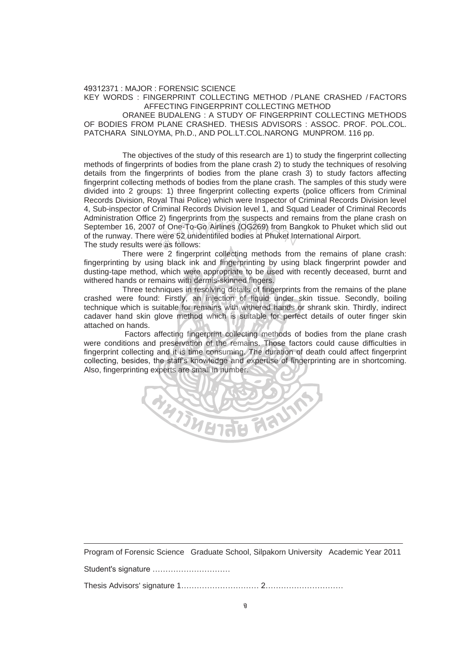49312371 : MAJOR : FORENSIC SCIENCE KEY WORDS : FINGERPRINT COLLECTING METHOD / PLANE CRASHED / FACTORS AFFECTING FINGERPRINT COLLECTING METHOD

 ORANEE BUDALENG : A STUDY OF FINGERPRINT COLLECTING METHODS OF BODIES FROM PLANE CRASHED. THESIS ADVISORS : ASSOC. PROF. POL.COL. PATCHARA SINLOYMA, Ph.D., AND POL.LT.COL.NARONG MUNPROM. 116 pp.

 The objectives of the study of this research are 1) to study the fingerprint collecting methods of fingerprints of bodies from the plane crash 2) to study the techniques of resolving details from the fingerprints of bodies from the plane crash 3) to study factors affecting fingerprint collecting methods of bodies from the plane crash. The samples of this study were divided into 2 groups: 1) three fingerprint collecting experts (police officers from Criminal Records Division, Royal Thai Police) which were Inspector of Criminal Records Division level 4, Sub-inspector of Criminal Records Division level 1, and Squad Leader of Criminal Records Administration Office 2) fingerprints from the suspects and remains from the plane crash on September 16, 2007 of One-To-Go Airlines (OG269) from Bangkok to Phuket which slid out of the runway. There were 52 unidentifiled bodies at Phuket International Airport.<br>The study results were as follows: of the runway. There were 52 unidentifiled bodies at Phuket International Airport. The study results were as follows:

 There were 2 fingerprint collecting methods from the remains of plane crash: fingerprinting by using black ink and fingerprinting by using black fingerprint powder and dusting-tape method, which were appropriate to be used with recently deceased, burnt and withered hands or remains with dermis-skinned fingers.

 Three techniques in resolving details of fingerprints from the remains of the plane crashed were found: Firstly, an injection of liquid under skin tissue. Secondly, boiling technique which is suitable for remains with withered hands or shrank skin. Thirdly, indirect cadaver hand skin glove method which is suitable for perfect details of outer finger skin attached on hands.

 Factors affecting fingerprint collecting methods of bodies from the plane crash were conditions and preservation of the remains. Those factors could cause difficulties in fingerprint collecting and it is time consuming. The duration of death could affect fingerprint collecting, besides, the staff's knowledge and expertise of fingerprinting are in shortcoming. Also, fingerprinting experts are small in number.



Program of Forensic Science Graduate School, Silpakorn University Academic Year 2011

Student's signature …………………………

Thesis Advisors' signature 1………………………… 2…………………………